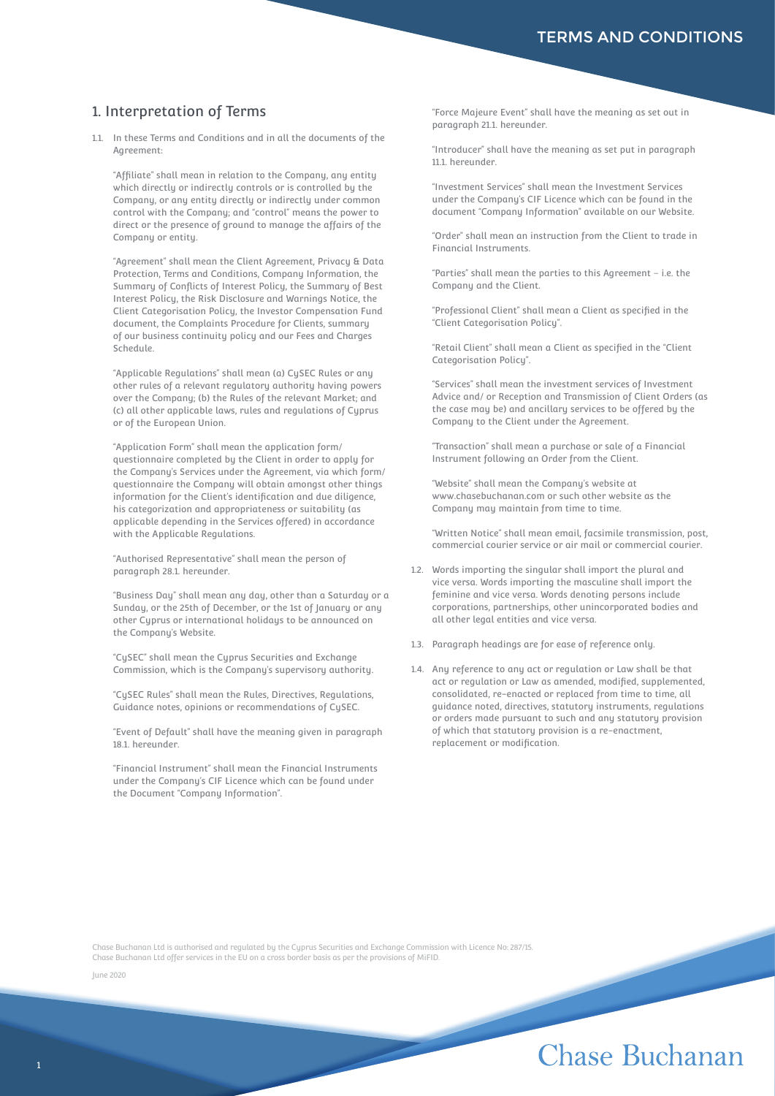## 1. Interpretation of Terms

1.1. In these Terms and Conditions and in all the documents of the Agreement:

 "Affiliate" shall mean in relation to the Company, any entity which directly or indirectly controls or is controlled by the Company, or any entity directly or indirectly under common control with the Company; and "control" means the power to direct or the presence of ground to manage the affairs of the Company or entity.

 "Agreement" shall mean the Client Agreement, Privacy & Data Protection, Terms and Conditions, Company Information, the Summary of Conflicts of Interest Policy, the Summary of Best Interest Policy, the Risk Disclosure and Warnings Notice, the Client Categorisation Policy, the Investor Compensation Fund document, the Complaints Procedure for Clients, summary of our business continuity policy and our Fees and Charges Schedule.

 "Applicable Regulations" shall mean (a) CySEC Rules or any other rules of a relevant regulatory authority having powers over the Company; (b) the Rules of the relevant Market; and (c) all other applicable laws, rules and regulations of Cyprus or of the European Union.

 "Application Form" shall mean the application form/ questionnaire completed by the Client in order to apply for the Company's Services under the Agreement, via which form/ questionnaire the Company will obtain amongst other things information for the Client's identification and due diligence, his categorization and appropriateness or suitability (as applicable depending in the Services offered) in accordance with the Applicable Regulations.

 "Authorised Representative" shall mean the person of paragraph 28.1. hereunder.

 "Business Day" shall mean any day, other than a Saturday or a Sunday, or the 25th of December, or the 1st of January or any other Cyprus or international holidays to be announced on the Company's Website.

 "CySEC" shall mean the Cyprus Securities and Exchange Commission, which is the Company's supervisory authority.

 "CySEC Rules" shall mean the Rules, Directives, Regulations, Guidance notes, opinions or recommendations of CySEC.

 "Event of Default" shall have the meaning given in paragraph 18.1. hereunder.

 "Financial Instrument" shall mean the Financial Instruments under the Company's CIF Licence which can be found under the Document "Company Information".

 "Force Majeure Event" shall have the meaning as set out in paragraph 21.1. hereunder.

 "Introducer" shall have the meaning as set put in paragraph 11.1. hereunder.

 "Investment Services" shall mean the Investment Services under the Company's CIF Licence which can be found in the document "Company Information" available on our Website.

 "Order" shall mean an instruction from the Client to trade in Financial Instruments.

 "Parties" shall mean the parties to this Agreement – i.e. the Company and the Client.

 "Professional Client" shall mean a Client as specified in the "Client Categorisation Policy".

 "Retail Client" shall mean a Client as specified in the "Client Categorisation Policy".

 "Services" shall mean the investment services of Investment Advice and/ or Reception and Transmission of Client Orders (as the case may be) and ancillary services to be offered by the Company to the Client under the Agreement.

 "Transaction" shall mean a purchase or sale of a Financial Instrument following an Order from the Client.

 "Website" shall mean the Company's website at www.chasebuchanan.com or such other website as the Company may maintain from time to time.

 "Written Notice" shall mean email, facsimile transmission, post, commercial courier service or air mail or commercial courier.

- 1.2. Words importing the singular shall import the plural and vice versa. Words importing the masculine shall import the feminine and vice versa. Words denoting persons include corporations, partnerships, other unincorporated bodies and all other legal entities and vice versa.
- 1.3. Paragraph headings are for ease of reference only.
- 1.4. Any reference to any act or regulation or Law shall be that act or regulation or Law as amended, modified, supplemented, consolidated, re-enacted or replaced from time to time, all guidance noted, directives, statutory instruments, regulations or orders made pursuant to such and any statutory provision of which that statutory provision is a re-enactment, replacement or modification.

Chase Buchanan Ltd is authorised and regulated by the Cyprus Securities and Exchange Commission with Licence No: 287/15. Chase Buchanan Ltd offer services in the EU on a cross border basis as per the provisions of MiFID.

June 2020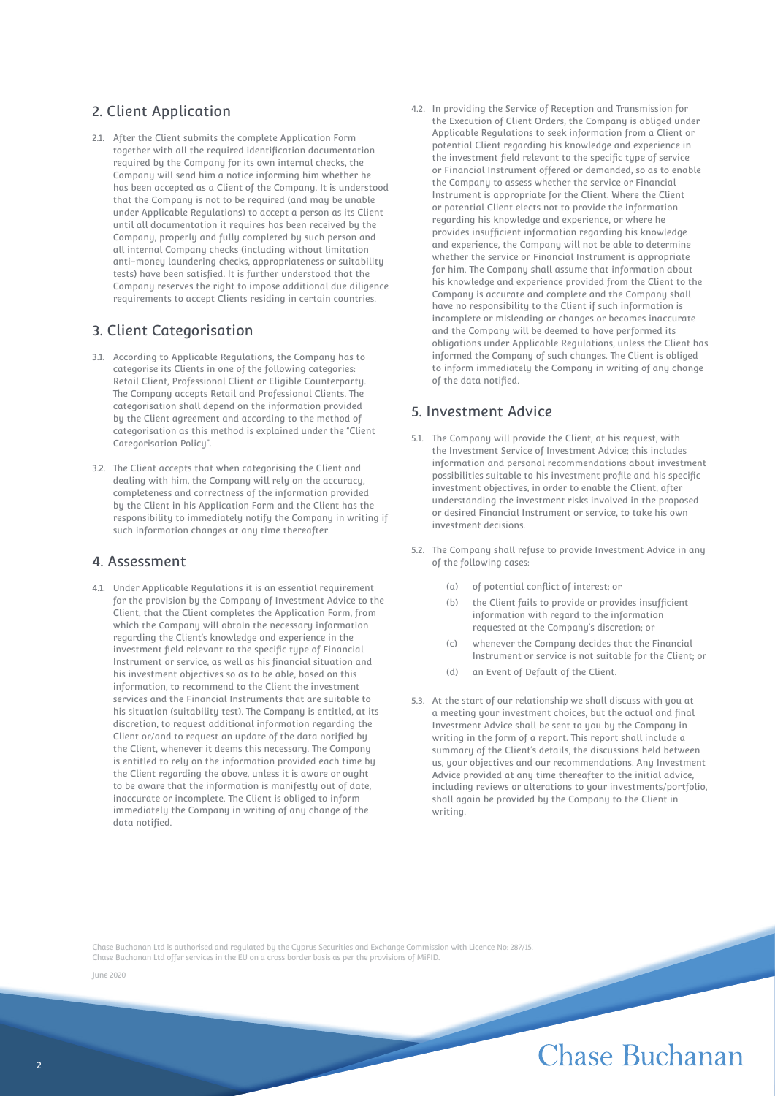## 2. Client Application

2.1. After the Client submits the complete Application Form together with all the required identification documentation required by the Company for its own internal checks, the Company will send him a notice informing him whether he has been accepted as a Client of the Company. It is understood that the Company is not to be required (and may be unable under Applicable Regulations) to accept a person as its Client until all documentation it requires has been received by the Company, properly and fully completed by such person and all internal Company checks (including without limitation anti-money laundering checks, appropriateness or suitability tests) have been satisfied. It is further understood that the Company reserves the right to impose additional due diligence requirements to accept Clients residing in certain countries.

#### 3. Client Categorisation

- 3.1. According to Applicable Regulations, the Company has to categorise its Clients in one of the following categories: Retail Client, Professional Client or Eligible Counterparty. The Company accepts Retail and Professional Clients. The categorisation shall depend on the information provided by the Client agreement and according to the method of categorisation as this method is explained under the "Client Categorisation Policy".
- 3.2. The Client accepts that when categorising the Client and dealing with him, the Company will rely on the accuracy, completeness and correctness of the information provided by the Client in his Application Form and the Client has the responsibility to immediately notify the Company in writing if such information changes at any time thereafter.

#### 4. Assessment

4.1. Under Applicable Regulations it is an essential requirement for the provision by the Company of Investment Advice to the Client, that the Client completes the Application Form, from which the Company will obtain the necessary information regarding the Client's knowledge and experience in the investment field relevant to the specific type of Financial Instrument or service, as well as his financial situation and his investment objectives so as to be able, based on this information, to recommend to the Client the investment services and the Financial Instruments that are suitable to his situation (suitability test). The Company is entitled, at its discretion, to request additional information regarding the Client or/and to request an update of the data notified by the Client, whenever it deems this necessary. The Company is entitled to rely on the information provided each time by the Client regarding the above, unless it is aware or ought to be aware that the information is manifestly out of date, inaccurate or incomplete. The Client is obliged to inform immediately the Company in writing of any change of the data notified.

4.2. In providing the Service of Reception and Transmission for the Execution of Client Orders, the Company is obliged under Applicable Regulations to seek information from a Client or potential Client regarding his knowledge and experience in the investment field relevant to the specific tupe of service or Financial Instrument offered or demanded, so as to enable the Company to assess whether the service or Financial Instrument is appropriate for the Client. Where the Client or potential Client elects not to provide the information regarding his knowledge and experience, or where he provides insufficient information regarding his knowledge and experience, the Company will not be able to determine whether the service or Financial Instrument is appropriate for him. The Company shall assume that information about his knowledge and experience provided from the Client to the Company is accurate and complete and the Company shall have no responsibility to the Client if such information is incomplete or misleading or changes or becomes inaccurate and the Company will be deemed to have performed its obligations under Applicable Regulations, unless the Client has informed the Company of such changes. The Client is obliged to inform immediately the Company in writing of any change of the data notified.

#### 5. Investment Advice

- 5.1. The Company will provide the Client, at his request, with the Investment Service of Investment Advice; this includes information and personal recommendations about investment possibilities suitable to his investment profile and his specific investment objectives, in order to enable the Client, after understanding the investment risks involved in the proposed or desired Financial Instrument or service, to take his own investment decisions.
- 5.2. The Company shall refuse to provide Investment Advice in any of the following cases:
	- (a) of potential conflict of interest; or
	- (b) the Client fails to provide or provides insufficient information with regard to the information requested at the Company's discretion; or
	- (c) whenever the Company decides that the Financial Instrument or service is not suitable for the Client; or
	- (d) an Event of Default of the Client.
- 5.3. At the start of our relationship we shall discuss with you at a meeting your investment choices, but the actual and final Investment Advice shall be sent to you by the Company in writing in the form of a report. This report shall include a summary of the Client's details, the discussions held between us, your objectives and our recommendations. Any Investment Advice provided at any time thereafter to the initial advice, including reviews or alterations to your investments/portfolio, shall again be provided by the Company to the Client in writing.

Chase Buchanan Ltd is authorised and regulated by the Cyprus Securities and Exchange Commission with Licence No: 287/15. Chase Buchanan Ltd offer services in the EU on a cross border basis as per the provisions of MiFID.

June 2020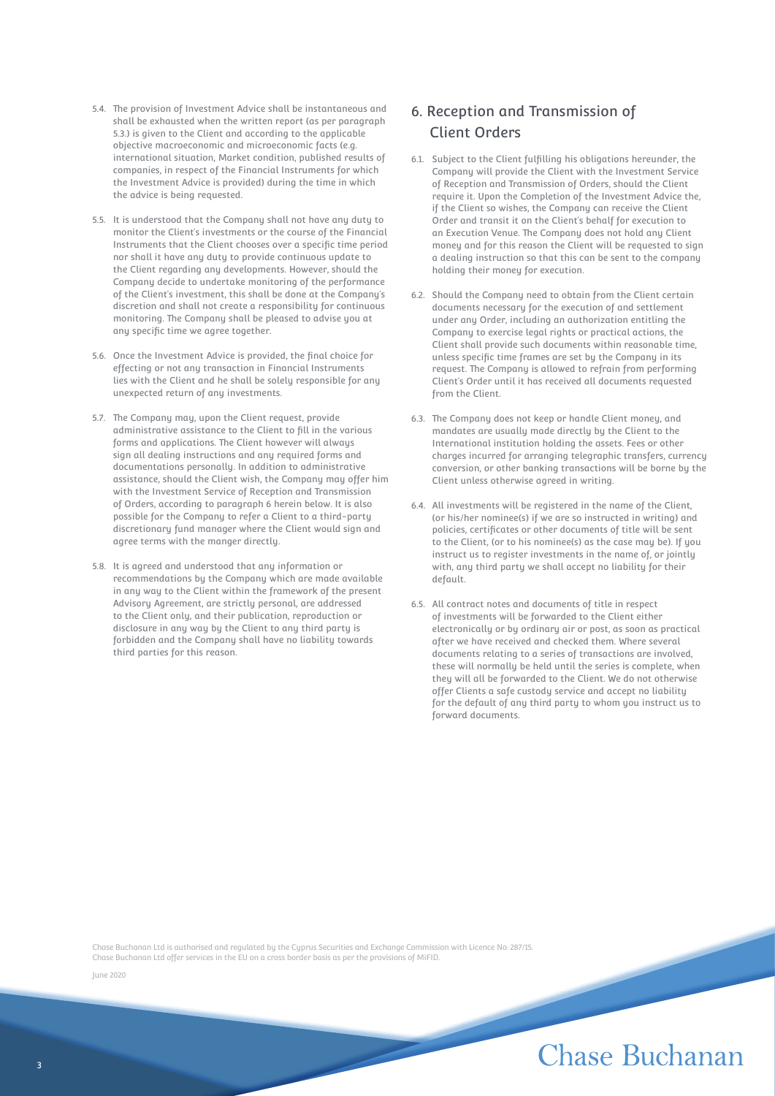- 5.4. The provision of Investment Advice shall be instantaneous and shall be exhausted when the written report (as per paragraph 5.3.) is given to the Client and according to the applicable objective macroeconomic and microeconomic facts (e.g. international situation, Market condition, published results of companies, in respect of the Financial Instruments for which the Investment Advice is provided) during the time in which the advice is being requested.
- 5.5. It is understood that the Company shall not have any duty to monitor the Client's investments or the course of the Financial Instruments that the Client chooses over a specific time period nor shall it have any duty to provide continuous update to the Client regarding any developments. However, should the Company decide to undertake monitoring of the performance of the Client's investment, this shall be done at the Company's discretion and shall not create a responsibility for continuous monitoring. The Company shall be pleased to advise you at any specific time we agree together.
- 5.6. Once the Investment Advice is provided, the final choice for effecting or not any transaction in Financial Instruments lies with the Client and he shall be solely responsible for any unexpected return of any investments.
- 5.7. The Company may, upon the Client request, provide administrative assistance to the Client to fill in the various forms and applications. The Client however will always sign all dealing instructions and any required forms and documentations personally. In addition to administrative assistance, should the Client wish, the Company may offer him with the Investment Service of Reception and Transmission of Orders, according to paragraph 6 herein below. It is also possible for the Company to refer a Client to a third-party discretionary fund manager where the Client would sign and agree terms with the manger directly.
- 5.8. It is agreed and understood that any information or recommendations by the Company which are made available in any way to the Client within the framework of the present Advisory Agreement, are strictly personal, are addressed to the Client only, and their publication, reproduction or disclosure in any way by the Client to any third party is forbidden and the Company shall have no liability towards third parties for this reason.

## 6. Reception and Transmission of Client Orders

- 6.1. Subject to the Client fulfilling his obligations hereunder, the Company will provide the Client with the Investment Service of Reception and Transmission of Orders, should the Client require it. Upon the Completion of the Investment Advice the, if the Client so wishes, the Company can receive the Client Order and transit it on the Client's behalf for execution to an Execution Venue. The Company does not hold any Client money and for this reason the Client will be requested to sign a dealing instruction so that this can be sent to the company holding their money for execution.
- 6.2. Should the Company need to obtain from the Client certain documents necessary for the execution of and settlement under any Order, including an authorization entitling the Company to exercise legal rights or practical actions, the Client shall provide such documents within reasonable time, unless specific time frames are set by the Company in its request. The Company is allowed to refrain from performing Client's Order until it has received all documents requested from the Client.
- 6.3. The Company does not keep or handle Client money, and mandates are usually made directly by the Client to the International institution holding the assets. Fees or other charges incurred for arranging telegraphic transfers, currency conversion, or other banking transactions will be borne by the Client unless otherwise agreed in writing.
- 6.4. All investments will be registered in the name of the Client, (or his/her nominee(s) if we are so instructed in writing) and policies, certificates or other documents of title will be sent to the Client, (or to his nominee(s) as the case may be). If you instruct us to register investments in the name of, or jointly with, any third party we shall accept no liability for their default.
- 6.5. All contract notes and documents of title in respect of investments will be forwarded to the Client either electronically or by ordinary air or post, as soon as practical after we have received and checked them. Where several documents relating to a series of transactions are involved, these will normally be held until the series is complete, when they will all be forwarded to the Client. We do not otherwise offer Clients a safe custody service and accept no liability for the default of any third party to whom you instruct us to forward documents.

Chase Buchanan Ltd is authorised and regulated by the Cyprus Securities and Exchange Commission with Licence No: 287/15. Chase Buchanan Ltd offer services in the EU on a cross border basis as per the provisions of MiFID.

June 2020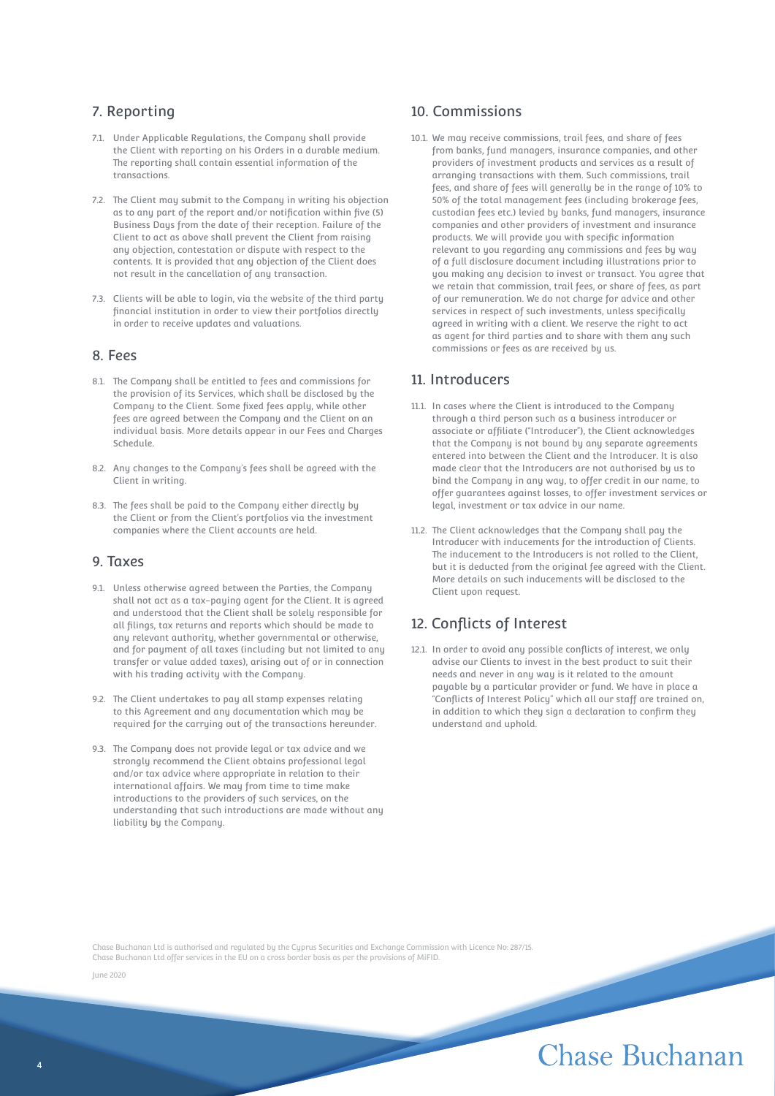## 7. Reporting

- 7.1. Under Applicable Regulations, the Company shall provide the Client with reporting on his Orders in a durable medium. The reporting shall contain essential information of the transactions.
- 7.2. The Client may submit to the Company in writing his objection as to any part of the report and/or notification within five (5) Business Days from the date of their reception. Failure of the Client to act as above shall prevent the Client from raising any objection, contestation or dispute with respect to the contents. It is provided that any objection of the Client does not result in the cancellation of any transaction.
- 7.3. Clients will be able to login, via the website of the third party financial institution in order to view their portfolios directly in order to receive updates and valuations.

#### 8. Fees

- 8.1. The Company shall be entitled to fees and commissions for the provision of its Services, which shall be disclosed by the Company to the Client. Some fixed fees apply, while other fees are agreed between the Company and the Client on an individual basis. More details appear in our Fees and Charges Schedule.
- 8.2. Any changes to the Company's fees shall be agreed with the Client in writing.
- 8.3. The fees shall be paid to the Company either directly by the Client or from the Client's portfolios via the investment companies where the Client accounts are held.

#### 9. Taxes

- 9.1. Unless otherwise agreed between the Parties, the Company shall not act as a tax-paying agent for the Client. It is agreed and understood that the Client shall be solely responsible for all filings, tax returns and reports which should be made to any relevant authority, whether governmental or otherwise, and for payment of all taxes (including but not limited to any transfer or value added taxes), arising out of or in connection with his trading activity with the Company.
- 9.2. The Client undertakes to pay all stamp expenses relating to this Agreement and any documentation which may be required for the carrying out of the transactions hereunder.
- 9.3. The Company does not provide legal or tax advice and we strongly recommend the Client obtains professional legal and/or tax advice where appropriate in relation to their international affairs. We may from time to time make introductions to the providers of such services, on the understanding that such introductions are made without any liability by the Company.

### 10. Commissions

10.1. We may receive commissions, trail fees, and share of fees from banks, fund managers, insurance companies, and other providers of investment products and services as a result of arranging transactions with them. Such commissions, trail fees, and share of fees will generally be in the range of 10% to 50% of the total management fees (including brokerage fees, custodian fees etc.) levied by banks, fund managers, insurance companies and other providers of investment and insurance products. We will provide you with specific information relevant to you regarding any commissions and fees by way of a full disclosure document including illustrations prior to you making any decision to invest or transact. You agree that we retain that commission, trail fees, or share of fees, as part of our remuneration. We do not charge for advice and other services in respect of such investments, unless specifically agreed in writing with a client. We reserve the right to act as agent for third parties and to share with them any such commissions or fees as are received by us.

#### 11. Introducers

- 11.1. In cases where the Client is introduced to the Company through a third person such as a business introducer or associate or affiliate ("Introducer"), the Client acknowledges that the Company is not bound by any separate agreements entered into between the Client and the Introducer. It is also made clear that the Introducers are not authorised by us to bind the Company in any way, to offer credit in our name, to offer guarantees against losses, to offer investment services or legal, investment or tax advice in our name.
- 11.2. The Client acknowledges that the Company shall pay the Introducer with inducements for the introduction of Clients. The inducement to the Introducers is not rolled to the Client, but it is deducted from the original fee agreed with the Client. More details on such inducements will be disclosed to the Client upon request.

## 12. Conflicts of Interest

12.1. In order to avoid any possible conflicts of interest, we only advise our Clients to invest in the best product to suit their needs and never in any way is it related to the amount payable by a particular provider or fund. We have in place a "Conflicts of Interest Policy" which all our staff are trained on, in addition to which they sign a declaration to confirm they understand and uphold.

Chase Buchanan Ltd is authorised and regulated by the Cyprus Securities and Exchange Commission with Licence No: 287/15. Chase Buchanan Ltd offer services in the EU on a cross border basis as per the provisions of MiFID.

June 2020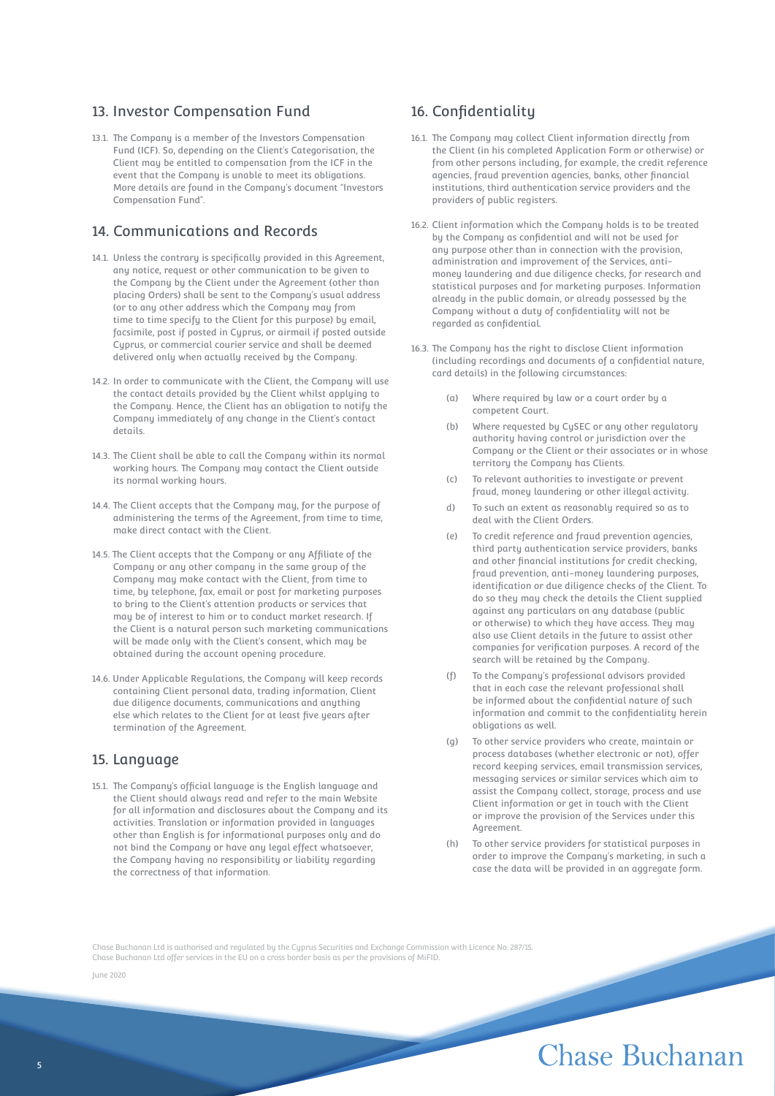## 13. Investor Compensation Fund

13.1. The Company is a member of the Investors Compensation Fund (ICF). So, depending on the Client's Categorisation, the Client may be entitled to compensation from the ICF in the event that the Company is unable to meet its obligations. More details are found in the Company's document "Investors Compensation Fund".

## 14. Communications and Records

- 14.1. Unless the contrary is specifically provided in this Agreement, any notice, request or other communication to be given to the Company by the Client under the Agreement (other than placing Orders) shall be sent to the Company's usual address (or to any other address which the Company may from time to time specify to the Client for this purpose) by email, facsimile, post if posted in Cyprus, or airmail if posted outside Cyprus, or commercial courier service and shall be deemed delivered only when actually received by the Company.
- 14.2. In order to communicate with the Client, the Company will use the contact details provided by the Client whilst applying to the Company. Hence, the Client has an obligation to notify the Company immediately of any change in the Client's contact details.
- 14.3. The Client shall be able to call the Company within its normal working hours. The Company may contact the Client outside its normal working hours.
- 14.4. The Client accepts that the Company may, for the purpose of administering the terms of the Agreement, from time to time, make direct contact with the Client.
- 14.5. The Client accepts that the Company or any Affiliate of the Company or any other company in the same group of the Company may make contact with the Client, from time to time, by telephone, fax, email or post for marketing purposes to bring to the Client's attention products or services that may be of interest to him or to conduct market research. If the Client is a natural person such marketing communications will be made only with the Client's consent, which may be obtained during the account opening procedure.
- 14.6. Under Applicable Regulations, the Company will keep records containing Client personal data, trading information, Client due diligence documents, communications and anything else which relates to the Client for at least five years after termination of the Agreement.

### 15. Language

15.1. The Company's official language is the English language and the Client should always read and refer to the main Website for all information and disclosures about the Company and its activities. Translation or information provided in languages other than English is for informational purposes only and do not bind the Company or have any legal effect whatsoever, the Company having no responsibility or liability regarding the correctness of that information.

## 16. Confidentiality

- 16.1. The Company may collect Client information directly from the Client (in his completed Application Form or otherwise) or from other persons including, for example, the credit reference agencies, fraud prevention agencies, banks, other financial institutions, third authentication service providers and the providers of public registers.
- 16.2. Client information which the Company holds is to be treated by the Company as confidential and will not be used for any purpose other than in connection with the provision, administration and improvement of the Services, antimoney laundering and due diligence checks, for research and statistical purposes and for marketing purposes. Information already in the public domain, or already possessed by the Company without a duty of confidentiality will not be regarded as confidential.
- 16.3. The Company has the right to disclose Client information (including recordings and documents of a confidential nature, card details) in the following circumstances:
	- (a) Where required by law or a court order by a competent Court.
	- (b) Where requested by CySEC or any other regulatory authority having control or jurisdiction over the Company or the Client or their associates or in whose territory the Company has Clients.
	- (c) To relevant authorities to investigate or prevent fraud, money laundering or other illegal activity.
	- d) To such an extent as reasonably required so as to deal with the Client Orders.
	- (e) To credit reference and fraud prevention agencies, third party authentication service providers, banks and other financial institutions for credit checking, fraud prevention, anti-money laundering purposes, identification or due diligence checks of the Client. To do so they may check the details the Client supplied against any particulars on any database (public or otherwise) to which they have access. They may also use Client details in the future to assist other companies for verification purposes. A record of the search will be retained by the Company.
	- (f) To the Company's professional advisors provided that in each case the relevant professional shall be informed about the confidential nature of such information and commit to the confidentiality herein obligations as well.
	- (g) To other service providers who create, maintain or process databases (whether electronic or not), offer record keeping services, email transmission services, messaging services or similar services which aim to assist the Company collect, storage, process and use Client information or get in touch with the Client or improve the provision of the Services under this Agreement.
	- To other service providers for statistical purposes in order to improve the Company's marketing, in such a case the data will be provided in an aggregate form.

Chase Buchanan Ltd is authorised and regulated by the Cyprus Securities and Exchange Commission with Licence No: 287/15. Chase Buchanan Ltd offer services in the EU on a cross border basis as per the provisions of MiFID.

June 2020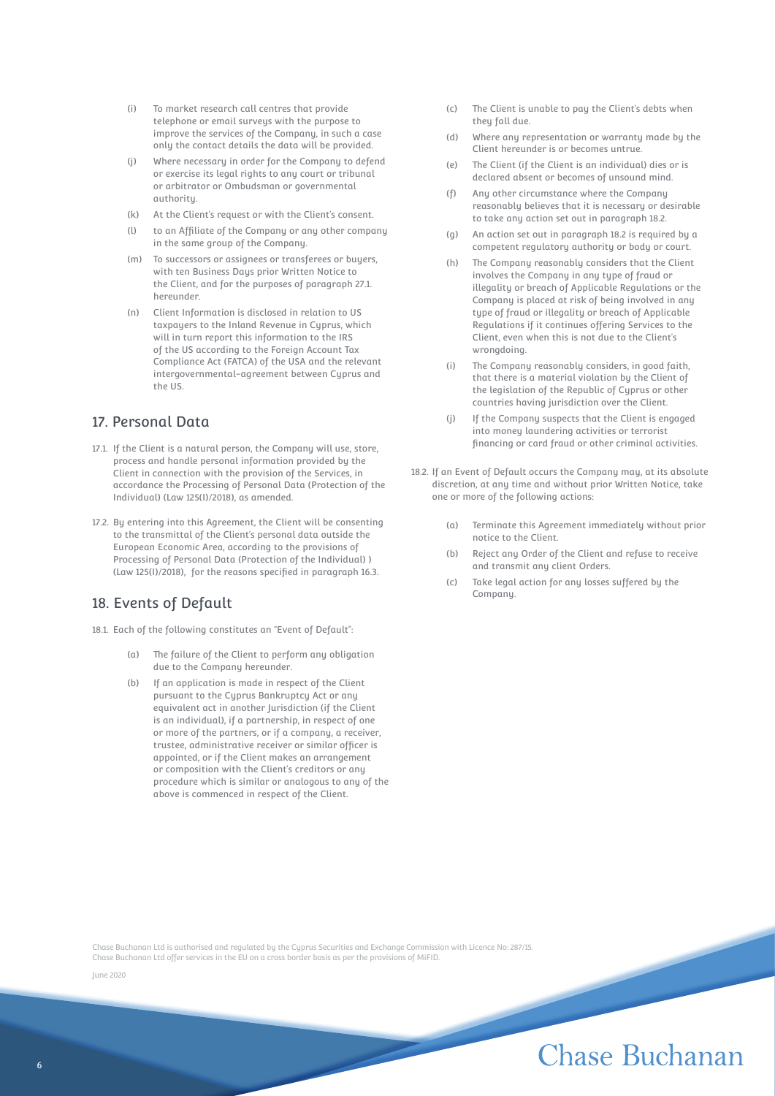- (i) To market research call centres that provide telephone or email surveys with the purpose to improve the services of the Company, in such a case only the contact details the data will be provided.
- (j) Where necessary in order for the Company to defend or exercise its legal rights to any court or tribunal or arbitrator or Ombudsman or governmental *authority*
- (k) At the Client's request or with the Client's consent.
- (l) to an Affiliate of the Company or any other company in the same group of the Company.
- (m) To successors or assignees or transferees or buyers, with ten Business Days prior Written Notice to the Client, and for the purposes of paragraph 27.1. hereunder.
- (n) Client Information is disclosed in relation to US taxpayers to the Inland Revenue in Cyprus, which will in turn report this information to the IRS of the US according to the Foreign Account Tax Compliance Act (FATCA) of the USA and the relevant intergovernmental-agreement between Cyprus and the US.

## 17. Personal Data

- 17.1. If the Client is a natural person, the Company will use, store, process and handle personal information provided by the Client in connection with the provision of the Services, in accordance the Processing of Personal Data (Protection of the Individual) (Law 125(I)/2018), as amended.
- 17.2. By entering into this Agreement, the Client will be consenting to the transmittal of the Client's personal data outside the European Economic Area, according to the provisions of Processing of Personal Data (Protection of the Individual) ) (Law 125(I)/2018), for the reasons specified in paragraph 16.3.

## 18. Events of Default

18.1. Each of the following constitutes an "Event of Default":

- (a) The failure of the Client to perform any obligation due to the Company hereunder.
- (b) If an application is made in respect of the Client pursuant to the Cyprus Bankruptcy Act or any equivalent act in another Jurisdiction (if the Client is an individual), if a partnership, in respect of one or more of the partners, or if a company, a receiver, trustee, administrative receiver or similar officer is appointed, or if the Client makes an arrangement or composition with the Client's creditors or any procedure which is similar or analogous to any of the above is commenced in respect of the Client.
- (c) The Client is unable to pay the Client's debts when they fall due
- (d) Where any representation or warranty made by the Client hereunder is or becomes untrue.
- (e) The Client (if the Client is an individual) dies or is declared absent or becomes of unsound mind.
- (f) Any other circumstance where the Company reasonably believes that it is necessary or desirable to take any action set out in paragraph 18.2.
- (g) An action set out in paragraph 18.2 is required by a competent regulatory authority or body or court.
- (h) The Company reasonably considers that the Client involves the Company in any type of fraud or illegality or breach of Applicable Regulations or the Company is placed at risk of being involved in any type of fraud or illegality or breach of Applicable Regulations if it continues offering Services to the Client, even when this is not due to the Client's wrongdoing.
- (i) The Company reasonably considers, in good faith, that there is a material violation by the Client of the legislation of the Republic of Cyprus or other countries having jurisdiction over the Client.
- (j) If the Company suspects that the Client is engaged into money laundering activities or terrorist financing or card fraud or other criminal activities.
- 18.2. If an Event of Default occurs the Company may, at its absolute discretion, at any time and without prior Written Notice, take one or more of the following actions:
	- (a) Terminate this Agreement immediately without prior notice to the Client.
	- (b) Reject any Order of the Client and refuse to receive and transmit any client Orders.
	- (c) Take legal action for any losses suffered by the Company.

Chase Buchanan Ltd is authorised and regulated by the Cyprus Securities and Exchange Commission with Licence No: 287/15. Chase Buchanan Ltd offer services in the EU on a cross border basis as per the provisions of MiFID.

June 2020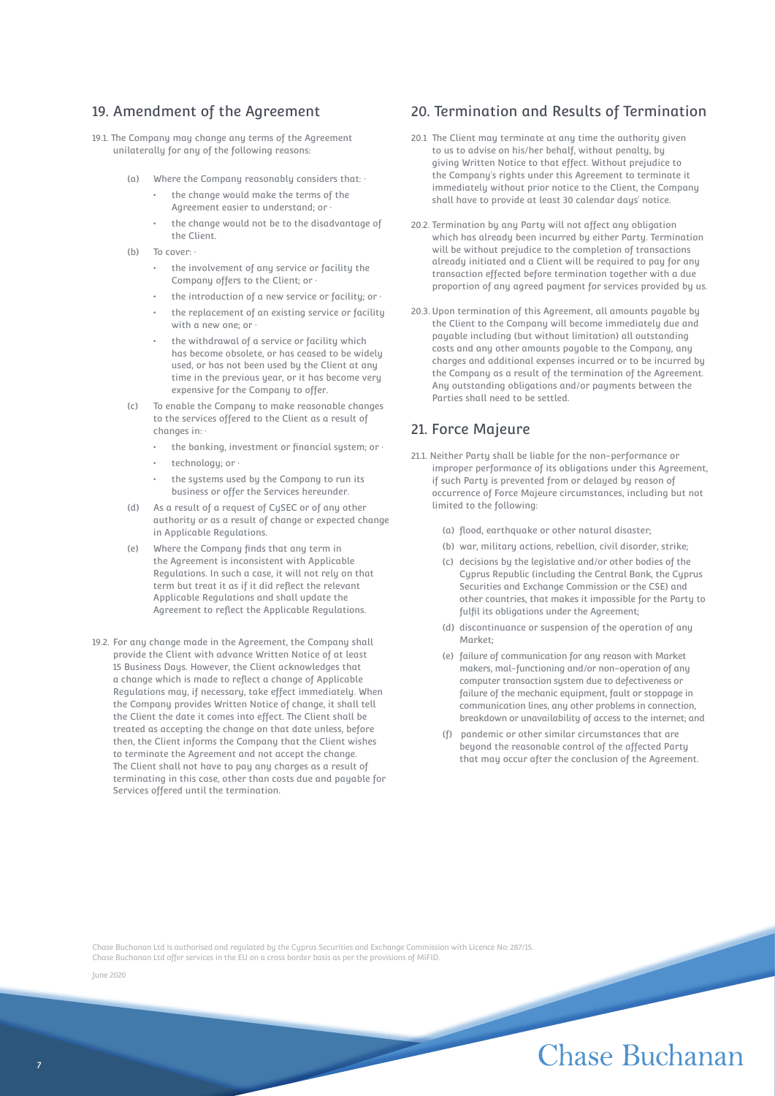### 19. Amendment of the Agreement

19.1. The Company may change any terms of the Agreement unilaterally for any of the following reasons:

- (a) Where the Company reasonably considers that:  $\cdot$ 
	- the change would make the terms of the Agreement easier to understand; or ·
	- the change would not be to the disadvantage of the Client.
- (b) To cover:
	- the involvement of any service or facility the Company offers to the Client; or ·
	- the introduction of a new service or facility; or  $\cdot$
	- the replacement of an existing service or facility with a new one: or
	- the withdrawal of a service or facility which has become obsolete, or has ceased to be widely used, or has not been used by the Client at any time in the previous year, or it has become very expensive for the Company to offer.
- (c) To enable the Company to make reasonable changes to the services offered to the Client as a result of changes in:
	- the banking, investment or financial system; or  $\cdot$
	- technology; or ·
	- the systems used by the Company to run its business or offer the Services hereunder.
- As a result of a request of CySEC or of any other authority or as a result of change or expected change in Applicable Regulations.
- (e) Where the Company finds that any term in the Agreement is inconsistent with Applicable Regulations. In such a case, it will not rely on that term but treat it as if it did reflect the relevant Applicable Regulations and shall update the Agreement to reflect the Applicable Regulations.
- 19.2. For any change made in the Agreement, the Company shall provide the Client with advance Written Notice of at least 15 Business Days. However, the Client acknowledges that a change which is made to reflect a change of Applicable Regulations may, if necessary, take effect immediately. When the Company provides Written Notice of change, it shall tell the Client the date it comes into effect. The Client shall be treated as accepting the change on that date unless, before then, the Client informs the Company that the Client wishes to terminate the Agreement and not accept the change. The Client shall not have to pay any charges as a result of terminating in this case, other than costs due and payable for Services offered until the termination.

#### 20. Termination and Results of Termination

- 20.1 The Client may terminate at any time the authority given to us to advise on his/her behalf, without penalty, by giving Written Notice to that effect. Without prejudice to the Company's rights under this Agreement to terminate it immediately without prior notice to the Client, the Company shall have to provide at least 30 calendar days' notice.
- 20.2. Termination by any Party will not affect any obligation which has already been incurred by either Party. Termination will be without prejudice to the completion of transactions already initiated and a Client will be required to pay for any transaction effected before termination together with a due proportion of any agreed payment for services provided by us.
- 20.3. Upon termination of this Agreement, all amounts payable by the Client to the Company will become immediately due and payable including (but without limitation) all outstanding costs and any other amounts payable to the Company, any charges and additional expenses incurred or to be incurred by the Company as a result of the termination of the Agreement. Any outstanding obligations and/or payments between the Parties shall need to be settled.

#### 21. Force Majeure

- 21.1. Neither Party shall be liable for the non-performance or improper performance of its obligations under this Agreement, if such Party is prevented from or delayed by reason of occurrence of Force Majeure circumstances, including but not limited to the following:
	- (a) flood, earthquake or other natural disaster;
	- (b) war, military actions, rebellion, civil disorder, strike;
	- (c) decisions by the legislative and/or other bodies of the Cyprus Republic (including the Central Bank, the Cyprus Securities and Exchange Commission or the CSE) and other countries, that makes it impossible for the Party to fulfil its obligations under the Agreement:
	- (d) discontinuance or suspension of the operation of any Market;
	- (e) failure of communication for any reason with Market makers, mal-functioning and/or non-operation of any computer transaction system due to defectiveness or failure of the mechanic equipment, fault or stoppage in communication lines, any other problems in connection, breakdown or unavailability of access to the internet; and
	- (f) pandemic or other similar circumstances that are beyond the reasonable control of the affected Party that may occur after the conclusion of the Agreement.

Chase Buchanan Ltd is authorised and regulated by the Cyprus Securities and Exchange Commission with Licence No: 287/15. Chase Buchanan Ltd offer services in the EU on a cross border basis as per the provisions of MiFID.

June 2020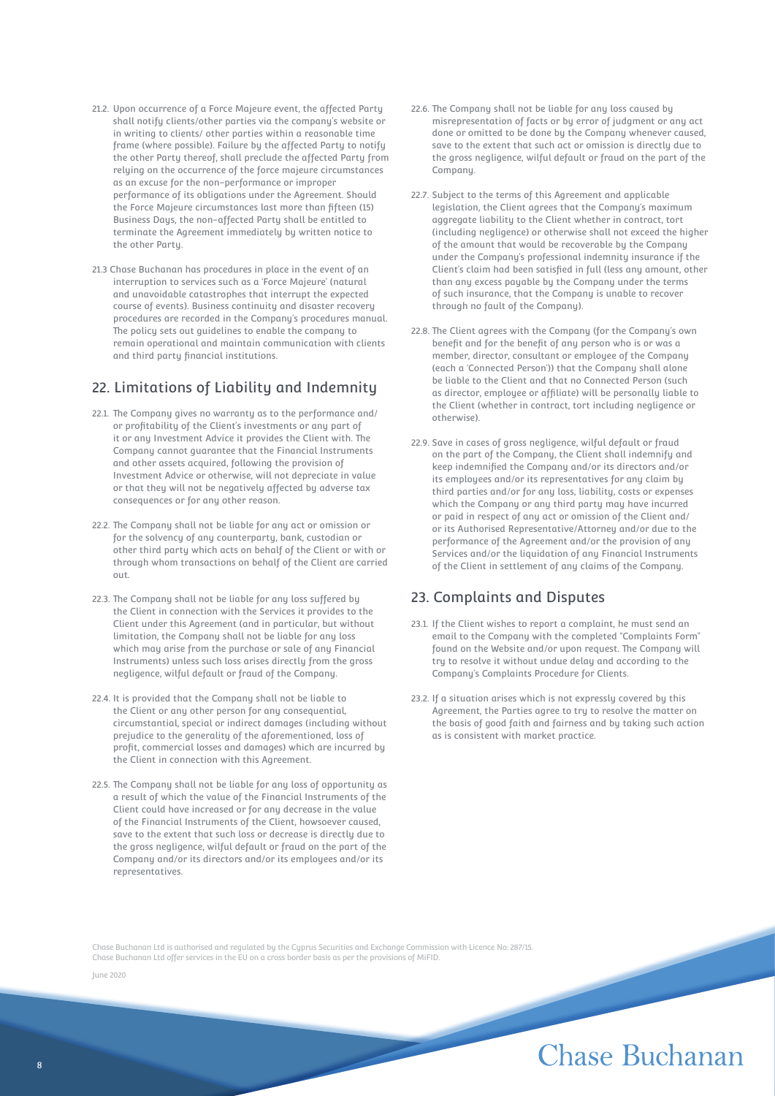- 21.2. Upon occurrence of a Force Majeure event, the affected Party shall notify clients/other parties via the company's website or in writing to clients/ other parties within a reasonable time frame (where possible). Failure by the affected Party to notify the other Party thereof, shall preclude the affected Party from relying on the occurrence of the force majeure circumstances as an excuse for the non-performance or improper performance of its obligations under the Agreement. Should the Force Majeure circumstances last more than fifteen (15) Business Days, the non-affected Party shall be entitled to terminate the Agreement immediately by written notice to the other Party.
- 21.3 Chase Buchanan has procedures in place in the event of an interruption to services such as a 'Force Majeure' (natural and unavoidable catastrophes that interrupt the expected course of events). Business continuity and disaster recovery procedures are recorded in the Company's procedures manual. The policy sets out guidelines to enable the company to remain operational and maintain communication with clients and third party financial institutions.

## 22. Limitations of Liability and Indemnity

- 22.1. The Company gives no warranty as to the performance and/ or profitability of the Client's investments or any part of it or any Investment Advice it provides the Client with. The Company cannot guarantee that the Financial Instruments and other assets acquired, following the provision of Investment Advice or otherwise, will not depreciate in value or that they will not be negatively affected by adverse tax consequences or for any other reason.
- 22.2. The Company shall not be liable for any act or omission or for the solvency of any counterparty, bank, custodian or other third party which acts on behalf of the Client or with or through whom transactions on behalf of the Client are carried out.
- 22.3. The Company shall not be liable for any loss suffered by the Client in connection with the Services it provides to the Client under this Agreement (and in particular, but without limitation, the Company shall not be liable for any loss which may arise from the purchase or sale of any Financial Instruments) unless such loss arises directly from the gross negligence, wilful default or fraud of the Company.
- 22.4. It is provided that the Company shall not be liable to the Client or any other person for any consequential, circumstantial, special or indirect damages (including without prejudice to the generality of the aforementioned, loss of profit, commercial losses and damages) which are incurred by the Client in connection with this Agreement.
- 22.5. The Company shall not be liable for any loss of opportunity as a result of which the value of the Financial Instruments of the Client could have increased or for any decrease in the value of the Financial Instruments of the Client, howsoever caused, save to the extent that such loss or decrease is directly due to the gross negligence, wilful default or fraud on the part of the Company and/or its directors and/or its employees and/or its representatives.
- 22.6. The Company shall not be liable for any loss caused by misrepresentation of facts or by error of judgment or any act done or omitted to be done by the Company whenever caused, save to the extent that such act or omission is directly due to the gross negligence, wilful default or fraud on the part of the Company.
- 22.7. Subject to the terms of this Agreement and applicable legislation, the Client agrees that the Company's maximum aggregate liability to the Client whether in contract, tort (including negligence) or otherwise shall not exceed the higher of the amount that would be recoverable by the Company under the Company's professional indemnity insurance if the Client's claim had been satisfied in full (less any amount, other than any excess payable by the Company under the terms of such insurance, that the Company is unable to recover through no fault of the Company).
- 22.8. The Client agrees with the Company (for the Company's own benefit and for the benefit of any person who is or was a member, director, consultant or employee of the Company (each a 'Connected Person')) that the Company shall alone be liable to the Client and that no Connected Person (such as director, employee or affiliate) will be personally liable to the Client (whether in contract, tort including negligence or otherwise).
- 22.9. Save in cases of gross negligence, wilful default or fraud on the part of the Company, the Client shall indemnify and keep indemnified the Company and/or its directors and/or its employees and/or its representatives for any claim by third parties and/or for any loss, liability, costs or expenses which the Company or any third party may have incurred or paid in respect of any act or omission of the Client and/ or its Authorised Representative/Attorney and/or due to the performance of the Agreement and/or the provision of any Services and/or the liquidation of any Financial Instruments of the Client in settlement of any claims of the Company.

## 23. Complaints and Disputes

- 23.1. If the Client wishes to report a complaint, he must send an email to the Company with the completed "Complaints Form" found on the Website and/or upon request. The Company will try to resolve it without undue delay and according to the Company's Complaints Procedure for Clients.
- 23.2. If a situation arises which is not expressly covered by this Agreement, the Parties agree to try to resolve the matter on the basis of good faith and fairness and by taking such action as is consistent with market practice.

Chase Buchanan Ltd is authorised and regulated by the Cyprus Securities and Exchange Commission with Licence No: 287/15. Chase Buchanan Ltd offer services in the EU on a cross border basis as per the provisions of MiFID.

June 2020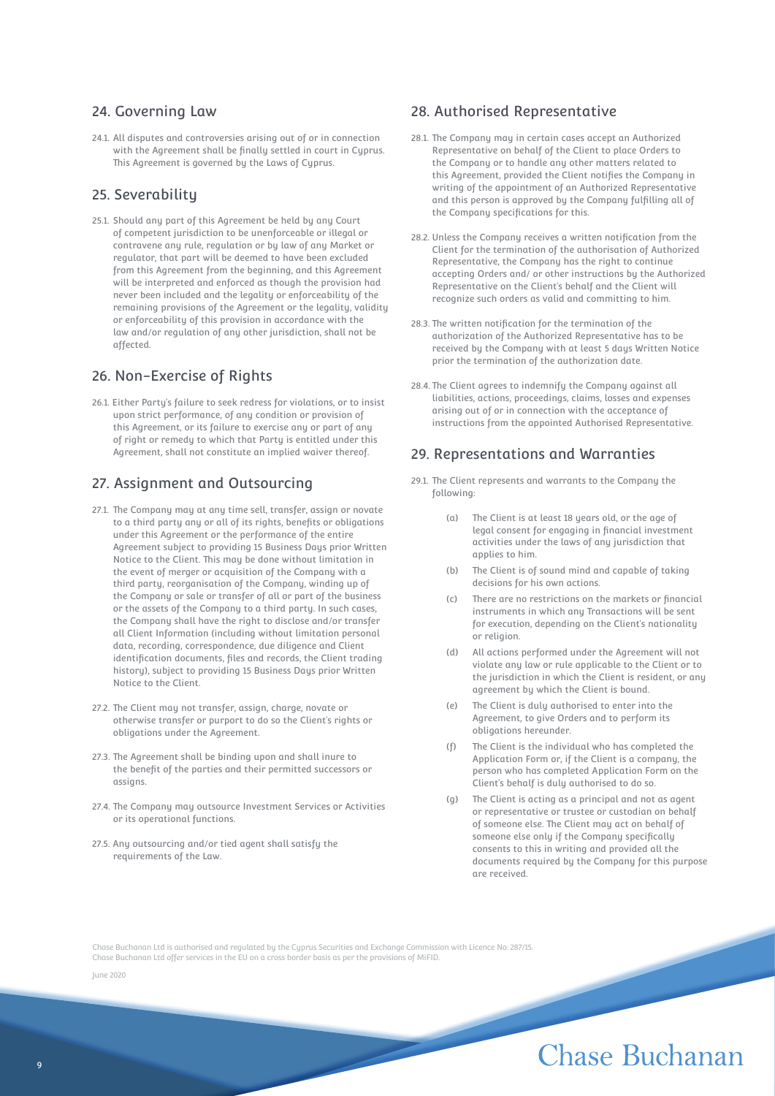#### 24. Governing Law

24.1. All disputes and controversies arising out of or in connection with the Agreement shall be finally settled in court in Cyprus. This Agreement is governed by the Laws of Cyprus.

## 25. Severability

25.1. Should any part of this Agreement be held by any Court of competent jurisdiction to be unenforceable or illegal or contravene any rule, regulation or by law of any Market or regulator, that part will be deemed to have been excluded from this Agreement from the beginning, and this Agreement will be interpreted and enforced as though the provision had never been included and the legality or enforceability of the remaining provisions of the Agreement or the legality, validity or enforceability of this provision in accordance with the law and/or regulation of any other jurisdiction, shall not be affected.

## 26. Non-Exercise of Rights

26.1. Either Party's failure to seek redress for violations, or to insist upon strict performance, of any condition or provision of this Agreement, or its failure to exercise any or part of any of right or remedy to which that Party is entitled under this Agreement, shall not constitute an implied waiver thereof.

## 27. Assignment and Outsourcing

- 27.1. The Company may at any time sell, transfer, assign or novate to a third party any or all of its rights, benefits or obligations under this Agreement or the performance of the entire Agreement subject to providing 15 Business Days prior Written Notice to the Client. This may be done without limitation in the event of merger or acquisition of the Company with a third party, reorganisation of the Company, winding up of the Company or sale or transfer of all or part of the business or the assets of the Company to a third party. In such cases, the Company shall have the right to disclose and/or transfer all Client Information (including without limitation personal data, recording, correspondence, due diligence and Client identification documents, files and records, the Client trading history), subject to providing 15 Business Days prior Written Notice to the Client.
- 27.2. The Client may not transfer, assign, charge, novate or otherwise transfer or purport to do so the Client's rights or obligations under the Agreement.
- 27.3. The Agreement shall be binding upon and shall inure to the benefit of the parties and their permitted successors or assigns.
- 27.4. The Company may outsource Investment Services or Activities or its operational functions.
- 27.5. Any outsourcing and/or tied agent shall satisfy the requirements of the Law.

## 28. Authorised Representative

- 28.1. The Company may in certain cases accept an Authorized Representative on behalf of the Client to place Orders to the Company or to handle any other matters related to this Agreement, provided the Client notifies the Company in writing of the appointment of an Authorized Representative and this person is approved by the Company fulfilling all of the Company specifications for this.
- 28.2. Unless the Company receives a written notification from the Client for the termination of the authorisation of Authorized Representative, the Company has the right to continue accepting Orders and/ or other instructions by the Authorized Representative on the Client's behalf and the Client will recognize such orders as valid and committing to him.
- 28.3. The written notification for the termination of the authorization of the Authorized Representative has to be received by the Company with at least 5 days Written Notice prior the termination of the authorization date.
- 28.4. The Client agrees to indemnify the Company against all liabilities, actions, proceedings, claims, losses and expenses arising out of or in connection with the acceptance of instructions from the appointed Authorised Representative.

#### 29. Representations and Warranties

- 29.1. The Client represents and warrants to the Company the following:
	- (a) The Client is at least 18 years old, or the age of legal consent for engaging in financial investment activities under the laws of any jurisdiction that applies to him.
	- (b) The Client is of sound mind and capable of taking decisions for his own actions.
	- (c) There are no restrictions on the markets or financial instruments in which any Transactions will be sent for execution, depending on the Client's nationality or religion.
	- (d) All actions performed under the Agreement will not violate any law or rule applicable to the Client or to the jurisdiction in which the Client is resident, or any agreement by which the Client is bound.
	- The Client is duly authorised to enter into the Agreement, to give Orders and to perform its obligations hereunder.
	- (f) The Client is the individual who has completed the Application Form or, if the Client is a company, the person who has completed Application Form on the Client's behalf is duly authorised to do so.
	- The Client is acting as a principal and not as agent or representative or trustee or custodian on behalf of someone else. The Client may act on behalf of someone else only if the Company specifically consents to this in writing and provided all the documents required by the Company for this purpose are received.

Chase Buchanan Ltd is authorised and regulated by the Cyprus Securities and Exchange Commission with Licence No: 287/15. Chase Buchanan Ltd offer services in the EU on a cross border basis as per the provisions of MiFID.

June 2020